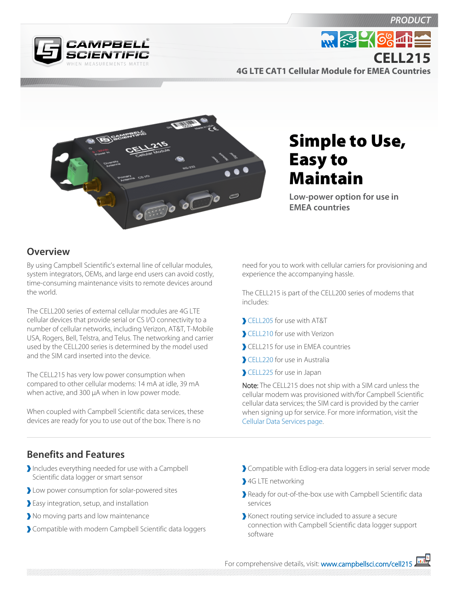**PRODUC** 



**M. R. 468 11 CELL2154G LTE CAT1 Cellular Module for EMEA Countries**



Simple to Use, Easy to Maintain

**Low-power option for use in EMEA countries**

## **Overview**

By using Campbell Scientific's external line of cellular modules, system integrators, OEMs, and large end users can avoid costly, time-consuming maintenance visits to remote devices around the world.

The CELL200 series of external cellular modules are 4G LTE cellular devices that provide serial or CS I/O connectivity to a number of cellular networks, including Verizon, AT&T, T-Mobile USA, Rogers, Bell, Telstra, and Telus. The networking and carrier used by the CELL200 series is determined by the model used and the SIM card inserted into the device.

The CELL215 has very low power consumption when compared to other cellular modems: 14 mA at idle, 39 mA when active, and 300 µA when in low power mode.

When coupled with Campbell Scientific data services, these devices are ready for you to use out of the box. There is no

need for you to work with cellular carriers for provisioning and experience the accompanying hassle.

The CELL215 is part of the CELL200 series of modems that includes:

- [CELL205](http://www.campbellsci.com/cell205) for use with AT&T
- [CELL210](http://www.campbellsci.com/cell210) for use with Verizon
- CELL215 for use in EMEA countries
- [CELL220](http://www.campbellsci.com/cell220) for use in Australia
- [CELL225](http://www.campbellsci.com/cell225) for use in Japan

Note: The CELL215 does not ship with a SIM card unless the cellular modem was provisioned with/for Campbell Scientific cellular data services; the SIM card is provided by the carrier when signing up for service. For more information, visit the [Cellular Data Services page](http://www.campbellsci.com/cellular-data-services).

## **Benefits and Features**

- Includes everything needed for use with a Campbell Scientific data logger or smart sensor
- Low power consumption for solar-powered sites
- Easy integration, setup, and installation
- No moving parts and low maintenance
- Compatible with modern Campbell Scientific data loggers
- Compatible with Edlog-era data loggers in serial server mode
- 4G LTE networking
- Ready for out-of-the-box use with Campbell Scientific data services
- Konect routing service included to assure a secure connection with Campbell Scientific data logger support software

For comprehensive details, visit: [www.campbellsci.com/cell215](https://www.campbellsci.com/cell215)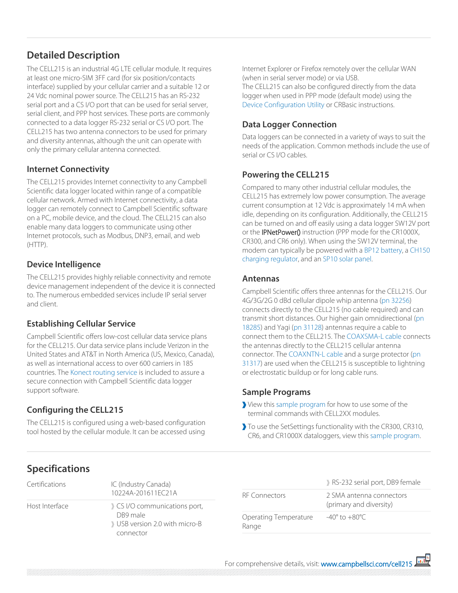# **Detailed Description**

The CELL215 is an industrial 4G LTE cellular module. It requires at least one micro-SIM 3FF card (for six position/contacts interface) supplied by your cellular carrier and a suitable 12 or 24 Vdc nominal power source. The CELL215 has an RS-232 serial port and a CS I/O port that can be used for serial server, serial client, and PPP host services. These ports are commonly connected to a data logger RS-232 serial or CS I/O port. The CELL215 has two antenna connectors to be used for primary and diversity antennas, although the unit can operate with only the primary cellular antenna connected.

### **Internet Connectivity**

The CELL215 provides Internet connectivity to any Campbell Scientific data logger located within range of a compatible cellular network. Armed with Internet connectivity, a data logger can remotely connect to Campbell Scientific software on a PC, mobile device, and the cloud. The CELL215 can also enable many data loggers to communicate using other Internet protocols, such as Modbus, DNP3, email, and web  $(HTTP)$ .

### **Device Intelligence**

The CELL215 provides highly reliable connectivity and remote device management independent of the device it is connected to. The numerous embedded services include IP serial server and client.

## **Establishing Cellular Service**

Campbell Scientific offers low-cost cellular data service plans for the CELL215. Our data service plans include Verizon in the United States and AT&T in North America (US, Mexico, Canada), as well as international access to over 600 carriers in 185 countries. The [Konect routing service](http://www.campbellsci.com/pbrouter) is included to assure a secure connection with Campbell Scientific data logger support software.

# **Configuring the CELL215**

The CELL215 is configured using a web-based configuration tool hosted by the cellular module. It can be accessed using Internet Explorer or Firefox remotely over the cellular WAN (when in serial server mode) or via USB. The CELL215 can also be configured directly from the data logger when used in PPP mode (default mode) using the [Device Configuration Utility](http://www.campbellsci.com/devconfig) or CRBasic instructions.

# **Data Logger Connection**

Data loggers can be connected in a variety of ways to suit the needs of the application. Common methods include the use of serial or CS I/O cables.

# **Powering the CELL215**

Compared to many other industrial cellular modules, the CELL215 has extremely low power consumption. The average current consumption at 12 Vdc is approximately 14 mA when idle, depending on its configuration. Additionally, the CELL215 can be turned on and off easily using a data logger SW12V port or the **IPNetPower()** instruction (PPP mode for the CR1000X, CR300, and CR6 only). When using the SW12V terminal, the modem can typically be powered with a [BP12 battery,](http://www.campbellsci.com/bp12) a [CH150](http://www.campbellsci.com/ch150)  [charging regulator](http://www.campbellsci.com/ch150), and an [SP10 solar panel.](http://www.campbellsci.com/sp10)

### **Antennas**

Campbell Scientific offers three antennas for the CELL215. Our 4G/3G/2G 0 dBd cellular dipole whip antenna [\(pn 32256\)](http://www.campbellsci.com/32256) connects directly to the CELL215 (no cable required) and can transmit short distances. Our higher gain omnidirectional [\(pn](http://www.campbellsci.com/p18285) [18285](http://www.campbellsci.com/p18285)) and Yagi ([pn 31128](http://www.campbellsci.com/31128)) antennas require a cable to connect them to the CELL215. The [COAXSMA-L cable](http://www.campbellsci.com/coaxsma-l) connects the antennas directly to the CELL215 cellular antenna connector. The [COAXNTN-L cable](http://www.campbellsci.com/coax-ntn) and a surge protector ([pn](http://www.campbellsci.com/31317)  [31317](http://www.campbellsci.com/31317)) are used when the CELL215 is susceptible to lightning or electrostatic buildup or for long cable runs.

### **Sample Programs**

- View this [sample program](https://s.campbellsci.com/documents/us/miscellaneous/CELL2XX-Settings.dld) for how to use some of the terminal commands with CELL2XX modules.
- To use the SetSettings functionality with the CR300, CR310, CR6, and CR1000X dataloggers, view this [sample program](https://s.campbellsci.com/documents/us/miscellaneous/CELL2XX-SetSettings.dld).

# **Specifications**

| Certifications | IC (Industry Canada)<br>10224A-201611FC21A                                           |
|----------------|--------------------------------------------------------------------------------------|
| Host Interface | CS I/O communications port,<br>DB9 male<br>USB version 2.0 with micro-B<br>connector |

|                                | RS-232 serial port, DB9 female                      |
|--------------------------------|-----------------------------------------------------|
| RF Connectors                  | 2 SMA antenna connectors<br>(primary and diversity) |
| Operating Temperature<br>Range | $-40^{\circ}$ to $+80^{\circ}$ C                    |